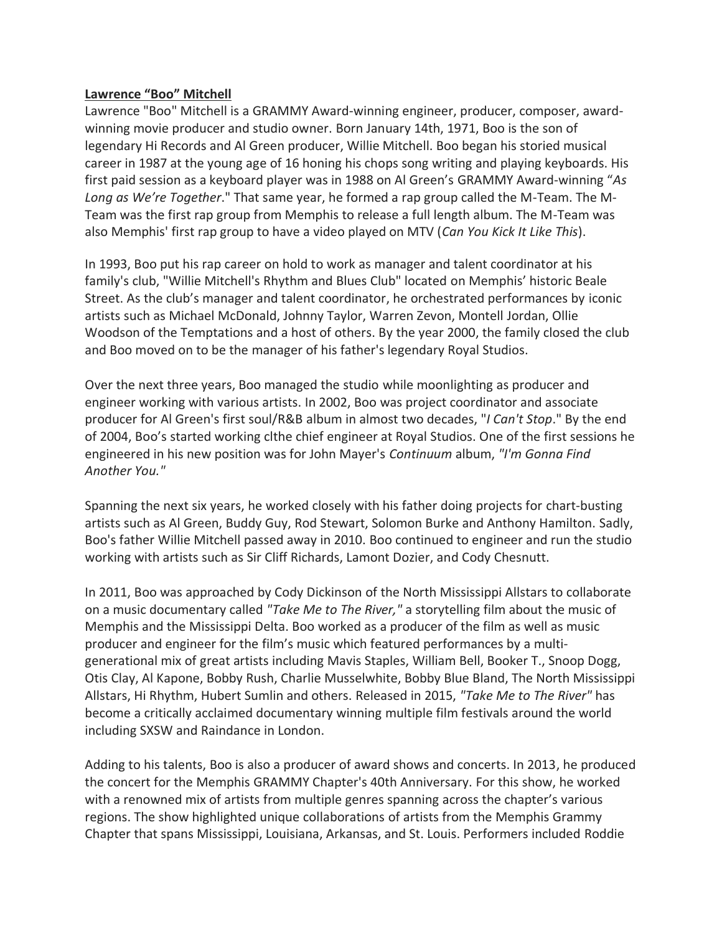## **Lawrence "Boo" Mitchell**

Lawrence "Boo" Mitchell is a GRAMMY Award-winning engineer, producer, composer, awardwinning movie producer and studio owner. Born January 14th, 1971, Boo is the son of legendary Hi Records and Al Green producer, Willie Mitchell. Boo began his storied musical career in 1987 at the young age of 16 honing his chops song writing and playing keyboards. His first paid session as a keyboard player was in 1988 on Al Green's GRAMMY Award-winning "*As Long as We're Together*." That same year, he formed a rap group called the M-Team. The M-Team was the first rap group from Memphis to release a full length album. The M-Team was also Memphis' first rap group to have a video played on MTV (*Can You Kick It Like This*).

In 1993, Boo put his rap career on hold to work as manager and talent coordinator at his family's club, "Willie Mitchell's Rhythm and Blues Club" located on Memphis' historic Beale Street. As the club's manager and talent coordinator, he orchestrated performances by iconic artists such as Michael McDonald, Johnny Taylor, Warren Zevon, Montell Jordan, Ollie Woodson of the Temptations and a host of others. By the year 2000, the family closed the club and Boo moved on to be the manager of his father's legendary Royal Studios.

Over the next three years, Boo managed the studio while moonlighting as producer and engineer working with various artists. In 2002, Boo was project coordinator and associate producer for Al Green's first soul/R&B album in almost two decades, "*I Can't Stop*." By the end of 2004, Boo's started working clthe chief engineer at Royal Studios. One of the first sessions he engineered in his new position was for John Mayer's *Continuum* album, *"I'm Gonna Find Another You."*

Spanning the next six years, he worked closely with his father doing projects for chart-busting artists such as Al Green, Buddy Guy, Rod Stewart, Solomon Burke and Anthony Hamilton. Sadly, Boo's father Willie Mitchell passed away in 2010. Boo continued to engineer and run the studio working with artists such as Sir Cliff Richards, Lamont Dozier, and Cody Chesnutt.

In 2011, Boo was approached by Cody Dickinson of the North Mississippi Allstars to collaborate on a music documentary called *"Take Me to The River,"* a storytelling film about the music of Memphis and the Mississippi Delta. Boo worked as a producer of the film as well as music producer and engineer for the film's music which featured performances by a multigenerational mix of great artists including Mavis Staples, William Bell, Booker T., Snoop Dogg, Otis Clay, Al Kapone, Bobby Rush, Charlie Musselwhite, Bobby Blue Bland, The North Mississippi Allstars, Hi Rhythm, Hubert Sumlin and others. Released in 2015, *"Take Me to The River"* has become a critically acclaimed documentary winning multiple film festivals around the world including SXSW and Raindance in London.

Adding to his talents, Boo is also a producer of award shows and concerts. In 2013, he produced the concert for the Memphis GRAMMY Chapter's 40th Anniversary. For this show, he worked with a renowned mix of artists from multiple genres spanning across the chapter's various regions. The show highlighted unique collaborations of artists from the Memphis Grammy Chapter that spans Mississippi, Louisiana, Arkansas, and St. Louis. Performers included Roddie